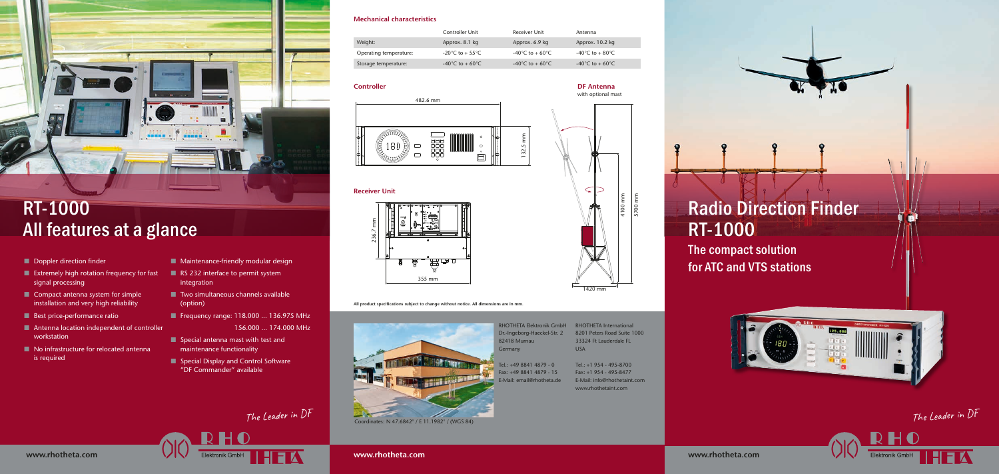### **Mechanical characteristics**

| Controller Unit | <b>Receiver Unit</b> | Antenna                               |
|-----------------|----------------------|---------------------------------------|
| Approx. 8.1 kg  | Approx. 6.9 kg       | Approx. 10.2 kg                       |
| -20°C to + 55°C | -40°C to + 60°C      | -40 $^{\circ}$ C to + 80 $^{\circ}$ C |
| -40°C to + 60°C | -40°C to + 60°C      | -40°C to + 60°C                       |

|                        | Controller Unit                       | Receiver Unit                         | Antenna         |
|------------------------|---------------------------------------|---------------------------------------|-----------------|
| Weight:                | Approx. 8.1 kg                        | Approx. 6.9 kg                        | Approx. 10.2 kg |
| Operating temperature: | -20 $^{\circ}$ C to + 55 $^{\circ}$ C | -40°C to + 60°C                       | -40°C to + 80°C |
| Storage temperature:   | -40°C to + 60°C                       | -40 $^{\circ}$ C to + 60 $^{\circ}$ C | -40°C to + 60°C |

The compact solution for ATC and VTS stations



# Radio Direction Finder RT-1000

**www.rhotheta.com**

- **n** Doppler direction finder
- $\blacksquare$  Extremely high rotation frequency for fast signal processing
- $\blacksquare$  Compact antenna system for simple installation and very high reliability
- $\blacksquare$  Best price-performance ratio
- $\blacksquare$  Antenna location independent of controller workstation
- $\blacksquare$  No infrastructure for relocated antenna is required
- $\blacksquare$  Maintenance-friendly modular design
- $\blacksquare$  RS 232 interface to permit system integration
- $\blacksquare$  Two simultaneous channels available (option)
- Frequency range: 118.000 ... 136.975 MHz

**All product specifcations subject to change without notice. All dimensions are in mm.**



**www.rhotheta.com**

- $\blacksquare$  Special antenna mast with test and maintenance functionality
- Special Display and Control Software "DF Commander" available

Elektronik GmbH

RHOTHETA Elektronik GmbH RHOTHETA International Dr.-Ingeborg-Haeckel-Str. 2 82418 Murnau **Germany** 

156.000 ... 174.000 MHz



## RT-1000 All features at a glance

**www.rhotheta.com**

Tel.: +49 8841 4879 - 0 Fax: +49 8841 4879 - 15 E-Mail: email@rhotheta.de

### **Controller DF Antenna**

with optional mast

### **Receiver Unit**





## The Leader in DF

HEA

The Leader in DF



Coordinates: N 47.6842° / E 11.1982° / (WGS 84)



8201 Peters Road Suite 1000 33324 Ft Lauderdale FL USA

Tel.: +1 954 - 495-8700 Fax: +1 954 - 495-8477 E-Mail: info@rhothetaint.com www.rhothetaint.com